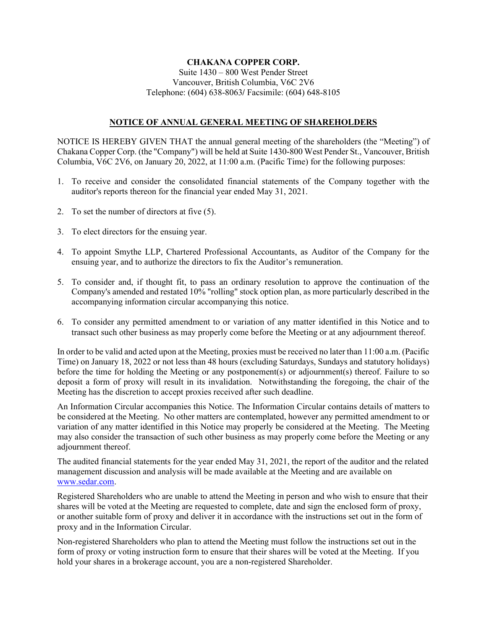#### **CHAKANA COPPER CORP.** Suite 1430 – 800 West Pender Street Vancouver, British Columbia, V6C 2V6 Telephone: (604) 638-8063**/** Facsimile: (604) 648-8105

## **NOTICE OF ANNUAL GENERAL MEETING OF SHAREHOLDERS**

NOTICE IS HEREBY GIVEN THAT the annual general meeting of the shareholders (the "Meeting") of Chakana Copper Corp. (the "Company") will be held at Suite 1430-800 West Pender St., Vancouver, British Columbia, V6C 2V6, on January 20, 2022, at 11:00 a.m. (Pacific Time) for the following purposes:

- 1. To receive and consider the consolidated financial statements of the Company together with the auditor's reports thereon for the financial year ended May 31, 2021.
- 2. To set the number of directors at five (5).
- 3. To elect directors for the ensuing year.
- 4. To appoint Smythe LLP, Chartered Professional Accountants, as Auditor of the Company for the ensuing year, and to authorize the directors to fix the Auditor's remuneration.
- 5. To consider and, if thought fit, to pass an ordinary resolution to approve the continuation of the Company's amended and restated 10% "rolling" stock option plan, as more particularly described in the accompanying information circular accompanying this notice.
- 6. To consider any permitted amendment to or variation of any matter identified in this Notice and to transact such other business as may properly come before the Meeting or at any adjournment thereof.

In order to be valid and acted upon at the Meeting, proxies must be received no later than 11:00 a.m. (Pacific Time) on January 18, 2022 or not less than 48 hours (excluding Saturdays, Sundays and statutory holidays) before the time for holding the Meeting or any postponement(s) or adjournment(s) thereof. Failure to so deposit a form of proxy will result in its invalidation. Notwithstanding the foregoing, the chair of the Meeting has the discretion to accept proxies received after such deadline.

An Information Circular accompanies this Notice. The Information Circular contains details of matters to be considered at the Meeting. No other matters are contemplated, however any permitted amendment to or variation of any matter identified in this Notice may properly be considered at the Meeting. The Meeting may also consider the transaction of such other business as may properly come before the Meeting or any adjournment thereof.

The audited financial statements for the year ended May 31, 2021, the report of the auditor and the related management discussion and analysis will be made available at the Meeting and are available on [www.sedar.com.](http://www.sedar.com/)

Registered Shareholders who are unable to attend the Meeting in person and who wish to ensure that their shares will be voted at the Meeting are requested to complete, date and sign the enclosed form of proxy, or another suitable form of proxy and deliver it in accordance with the instructions set out in the form of proxy and in the Information Circular.

Non-registered Shareholders who plan to attend the Meeting must follow the instructions set out in the form of proxy or voting instruction form to ensure that their shares will be voted at the Meeting. If you hold your shares in a brokerage account, you are a non-registered Shareholder.